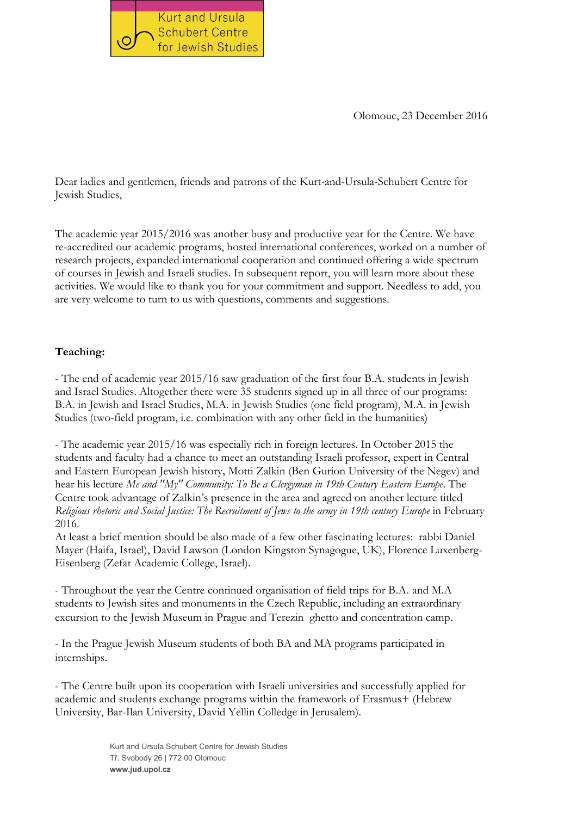

Olomouc, 23 December 2016

Dear ladies and gentlemen, friends and patrons of the Kurt-and-Ursula-Schubert Centre for Jewish Studies,

The academic year 2015/2016 was another busy and productive year for the Centre. We have re-accredited our academic programs, hosted international conferences, worked on a number of research projects, expanded international cooperation and continued offering a wide spectrum of courses in Jewish and Israeli studies. In subsequent report, you will learn more about these activities. We would like to thank you for your commitment and support. Needless to add, you are very welcome to turn to us with questions, comments and suggestions.

## Teaching:

- The end of academic year 2015/16 saw graduation of the first four B.A. students in Jewish and Israel Studies. Altogether there were 35 students signed up in all three of our programs: B.A. in Jewish and Israel Studies, M.A. in Jewish Studies (one field program), M.A. in Jewish Studies (two-field program, i.e. combination with any other field in the humanities)

- The academic year 2015/16 was especially rich in foreign lectures. In October 2015 the students and faculty had a chance to meet an outstanding Israeli professor, expert in Central and Eastern European Jewish history, Motti Zalkin (Ben Gurion University of the Negev) and hear his lecture *Me and "My" Community: To Be a Clergyman in 19th Century Eastern Europe*. The Centre took advantage of Zalkin's presence in the area and agreed on another lecture titled *Religious rhetoric and Social Justice: The Recruitment of Jews to the army in 19th century Europe* in February 2016.

At least a brief mention should be also made of a few other fascinating lectures: rabbi Daniel Mayer (Haifa, Israel), David Lawson (London Kingston Synagogue, UK), Florence Luxenberg-Eisenberg (Zefat Academic College, Israel).

- Throughout the year the Centre continued organisation of field trips for B.A. and M.A students to Jewish sites and monuments in the Czech Republic, including an extraordinary excursion to the Jewish Museum in Prague and Terezin ghetto and concentration camp.

- In the Prague Jewish Museum students of both BA and MA programs participated in internships.

- The Centre built upon its cooperation with Israeli universities and successfully applied for academic and students exchange programs within the framework of Erasmus+ (Hebrew University, Bar-Ilan University, David Yellin Colledge in Jerusalem).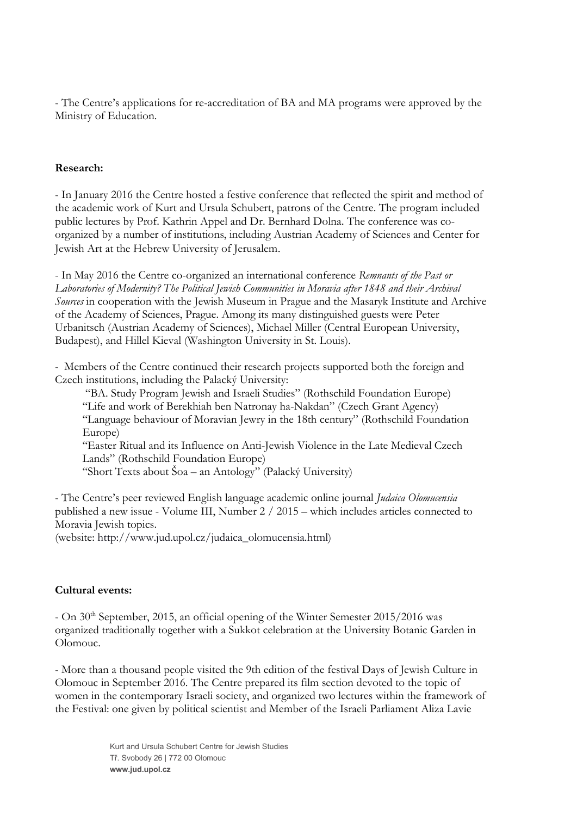- The Centre's applications for re-accreditation of BA and MA programs were approved by the Ministry of Education.

## Research:

- In January 2016 the Centre hosted a festive conference that reflected the spirit and method of the academic work of Kurt and Ursula Schubert, patrons of the Centre. The program included public lectures by Prof. Kathrin Appel and Dr. Bernhard Dolna. The conference was coorganized by a number of institutions, including Austrian Academy of Sciences and Center for Jewish Art at the Hebrew University of Jerusalem.

- In May 2016 the Centre co-organized an international conference *Remnants of the Past or Laboratories of Modernity? The Political Jewish Communities in Moravia after 1848 and their Archival Sources* in cooperation with the Jewish Museum in Prague and the Masaryk Institute and Archive of the Academy of Sciences, Prague. Among its many distinguished guests were Peter Urbanitsch (Austrian Academy of Sciences), Michael Miller (Central European University, Budapest), and Hillel Kieval (Washington University in St. Louis).

- Members of the Centre continued their research projects supported both the foreign and Czech institutions, including the Palacký University:

"BA. Study Program Jewish and Israeli Studies" (Rothschild Foundation Europe) "Life and work of Berekhiah ben Natronay ha-Nakdan" (Czech Grant Agency) "Language behaviour of Moravian Jewry in the 18th century" (Rothschild Foundation Europe) "Easter Ritual and its Influence on Anti-Jewish Violence in the Late Medieval Czech Lands" (Rothschild Foundation Europe)

"Short Texts about Šoa – an Antology" (Palacký University)

- The Centre's peer reviewed English language academic online journal *Judaica Olomucensia* published a new issue - Volume III, Number 2 / 2015 – which includes articles connected to Moravia Jewish topics.

(website: [http://www.jud.upol.cz/judaica\\_olomucensia.html](http://www.jud.upol.cz/judaica_olomucensia.html))

## Cultural events:

 $-$  On 30<sup>th</sup> September, 2015, an official opening of the Winter Semester 2015/2016 was organized traditionally together with a Sukkot celebration at the University Botanic Garden in Olomouc.

- More than a thousand people visited the 9th edition of the festival Days of Jewish Culture in Olomouc in September 2016. The Centre prepared its film section devoted to the topic of women in the contemporary Israeli society, and organized two lectures within the framework of the Festival: one given by political scientist and Member of the Israeli Parliament Aliza Lavie